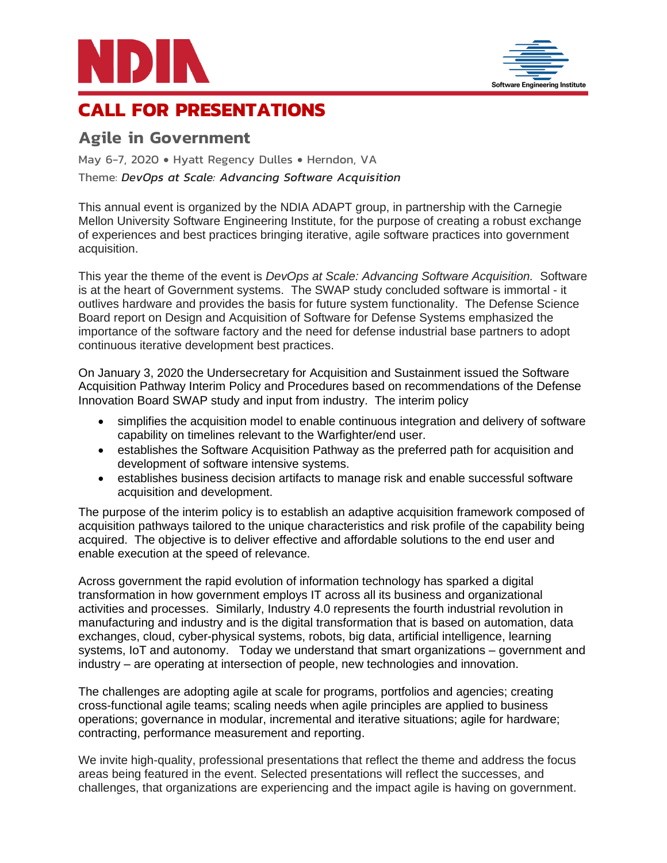



# **CALL FOR PRESENTATIONS**

# **Agile in Government**

May 6-7, 2020 • Hyatt Regency Dulles • Herndon, VA Theme: *DevOps at Scale: Advancing Software Acquisition*

This annual event is organized by the NDIA ADAPT group, in partnership with the Carnegie Mellon University Software Engineering Institute, for the purpose of creating a robust exchange of experiences and best practices bringing iterative, agile software practices into government acquisition.

This year the theme of the event is *DevOps at Scale: Advancing Software Acquisition.* Software is at the heart of Government systems. The SWAP study concluded software is immortal - it outlives hardware and provides the basis for future system functionality. The Defense Science Board report on Design and Acquisition of Software for Defense Systems emphasized the importance of the software factory and the need for defense industrial base partners to adopt continuous iterative development best practices.

On January 3, 2020 the Undersecretary for Acquisition and Sustainment issued the Software Acquisition Pathway Interim Policy and Procedures based on recommendations of the Defense Innovation Board SWAP study and input from industry. The interim policy

- simplifies the acquisition model to enable continuous integration and delivery of software capability on timelines relevant to the Warfighter/end user.
- establishes the Software Acquisition Pathway as the preferred path for acquisition and development of software intensive systems.
- establishes business decision artifacts to manage risk and enable successful software acquisition and development.

The purpose of the interim policy is to establish an adaptive acquisition framework composed of acquisition pathways tailored to the unique characteristics and risk profile of the capability being acquired. The objective is to deliver effective and affordable solutions to the end user and enable execution at the speed of relevance.

Across government the rapid evolution of information technology has sparked a digital transformation in how government employs IT across all its business and organizational activities and processes. Similarly, Industry 4.0 represents the fourth industrial revolution in manufacturing and industry and is the digital transformation that is based on automation, data exchanges, cloud, cyber-physical systems, robots, big data, artificial intelligence, learning systems, IoT and autonomy. Today we understand that smart organizations – government and industry – are operating at intersection of people, new technologies and innovation.

The challenges are adopting agile at scale for programs, portfolios and agencies; creating cross-functional agile teams; scaling needs when agile principles are applied to business operations; governance in modular, incremental and iterative situations; agile for hardware; contracting, performance measurement and reporting.

We invite high-quality, professional presentations that reflect the theme and address the focus areas being featured in the event. Selected presentations will reflect the successes, and challenges, that organizations are experiencing and the impact agile is having on government.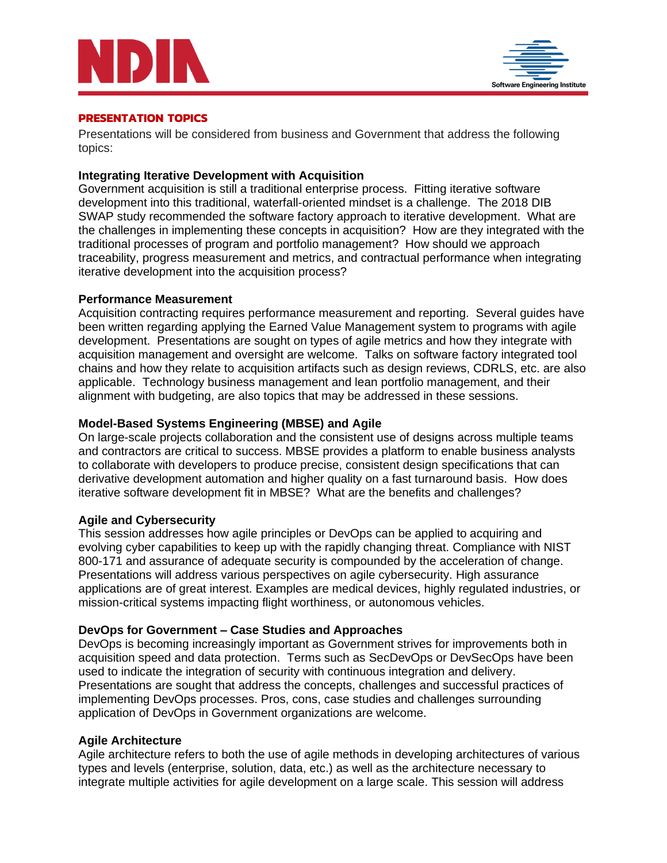



#### **PRESENTATION TOPICS**

Presentations will be considered from business and Government that address the following topics:

# **Integrating Iterative Development with Acquisition**

Government acquisition is still a traditional enterprise process. Fitting iterative software development into this traditional, waterfall-oriented mindset is a challenge. The 2018 DIB SWAP study recommended the software factory approach to iterative development. What are the challenges in implementing these concepts in acquisition? How are they integrated with the traditional processes of program and portfolio management? How should we approach traceability, progress measurement and metrics, and contractual performance when integrating iterative development into the acquisition process?

# **Performance Measurement**

Acquisition contracting requires performance measurement and reporting. Several guides have been written regarding applying the Earned Value Management system to programs with agile development. Presentations are sought on types of agile metrics and how they integrate with acquisition management and oversight are welcome. Talks on software factory integrated tool chains and how they relate to acquisition artifacts such as design reviews, CDRLS, etc. are also applicable. Technology business management and lean portfolio management, and their alignment with budgeting, are also topics that may be addressed in these sessions.

# **Model-Based Systems Engineering (MBSE) and Agile**

On large-scale projects collaboration and the consistent use of designs across multiple teams and contractors are critical to success. MBSE provides a platform to enable business analysts to collaborate with developers to produce precise, consistent design specifications that can derivative development automation and higher quality on a fast turnaround basis. How does iterative software development fit in MBSE? What are the benefits and challenges?

#### **Agile and Cybersecurity**

This session addresses how agile principles or DevOps can be applied to acquiring and evolving cyber capabilities to keep up with the rapidly changing threat. Compliance with NIST 800-171 and assurance of adequate security is compounded by the acceleration of change. Presentations will address various perspectives on agile cybersecurity. High assurance applications are of great interest. Examples are medical devices, highly regulated industries, or mission-critical systems impacting flight worthiness, or autonomous vehicles.

#### **DevOps for Government – Case Studies and Approaches**

DevOps is becoming increasingly important as Government strives for improvements both in acquisition speed and data protection. Terms such as SecDevOps or DevSecOps have been used to indicate the integration of security with continuous integration and delivery. Presentations are sought that address the concepts, challenges and successful practices of implementing DevOps processes. Pros, cons, case studies and challenges surrounding application of DevOps in Government organizations are welcome.

#### **Agile Architecture**

Agile architecture refers to both the use of agile methods in developing architectures of various types and levels (enterprise, solution, data, etc.) as well as the architecture necessary to integrate multiple activities for agile development on a large scale. This session will address